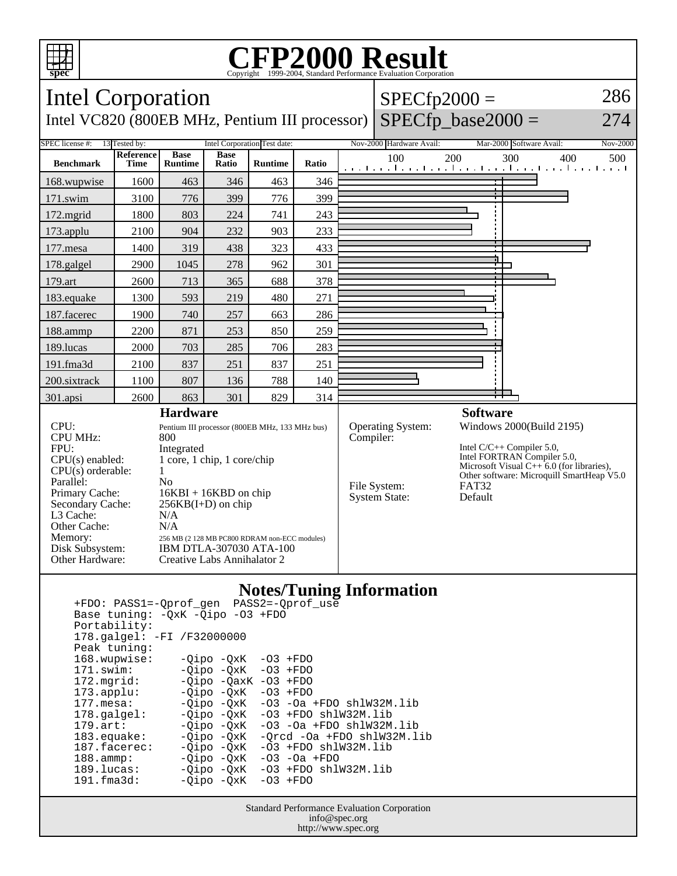

## Copyright ©1999-2004, Standard Performance Evaluation Corporation

| <b>Intel Corporation</b><br>Intel VC820 (800EB MHz, Pentium III processor)                                                                                                                                                                                                                                                                                                                                                                                                                                                               |                          |                               |                      |                              |           | $SPECfp2000 =$<br>$SPECfp\_base2000 =$                           |                                                              |                                                                                        |                                                                                         | 286<br>274 |     |
|------------------------------------------------------------------------------------------------------------------------------------------------------------------------------------------------------------------------------------------------------------------------------------------------------------------------------------------------------------------------------------------------------------------------------------------------------------------------------------------------------------------------------------------|--------------------------|-------------------------------|----------------------|------------------------------|-----------|------------------------------------------------------------------|--------------------------------------------------------------|----------------------------------------------------------------------------------------|-----------------------------------------------------------------------------------------|------------|-----|
| SPEC license #:                                                                                                                                                                                                                                                                                                                                                                                                                                                                                                                          | 13 Tested by:            |                               |                      | Intel Corporation Test date: |           | Nov-2000 Hardware Avail:                                         |                                                              | Mar-2000 Software Avail:                                                               |                                                                                         | Nov-2000   |     |
| <b>Benchmark</b>                                                                                                                                                                                                                                                                                                                                                                                                                                                                                                                         | Reference<br><b>Time</b> | <b>Base</b><br><b>Runtime</b> | <b>Base</b><br>Ratio | <b>Runtime</b>               | Ratio     |                                                                  | 100<br>المتساحية والمتواجدة والمتواجدة والمتواجدة والمتواجدة | 200                                                                                    | 300                                                                                     | 400        | 500 |
| 168.wupwise                                                                                                                                                                                                                                                                                                                                                                                                                                                                                                                              | 1600                     | 463                           | 346                  | 463                          | 346       |                                                                  |                                                              |                                                                                        |                                                                                         |            |     |
| 171.swim                                                                                                                                                                                                                                                                                                                                                                                                                                                                                                                                 | 3100                     | 776                           | 399                  | 776                          | 399       |                                                                  |                                                              |                                                                                        |                                                                                         |            |     |
| 172.mgrid                                                                                                                                                                                                                                                                                                                                                                                                                                                                                                                                | 1800                     | 803                           | 224                  | 741                          | 243       |                                                                  |                                                              |                                                                                        |                                                                                         |            |     |
| 173.applu                                                                                                                                                                                                                                                                                                                                                                                                                                                                                                                                | 2100                     | 904                           | 232                  | 903                          | 233       |                                                                  |                                                              |                                                                                        |                                                                                         |            |     |
| 177.mesa                                                                                                                                                                                                                                                                                                                                                                                                                                                                                                                                 | 1400                     | 319                           | 438                  | 323                          | 433       |                                                                  |                                                              |                                                                                        |                                                                                         |            |     |
| 178.galgel                                                                                                                                                                                                                                                                                                                                                                                                                                                                                                                               | 2900                     | 1045                          | 278                  | 962                          | 301       |                                                                  |                                                              |                                                                                        |                                                                                         |            |     |
| 179.art                                                                                                                                                                                                                                                                                                                                                                                                                                                                                                                                  | 2600                     | 713                           | 365                  | 688                          | 378       |                                                                  |                                                              |                                                                                        |                                                                                         |            |     |
| 183.equake                                                                                                                                                                                                                                                                                                                                                                                                                                                                                                                               | 1300                     | 593                           | 219                  | 480                          | 271       |                                                                  |                                                              |                                                                                        |                                                                                         |            |     |
| 187.facerec                                                                                                                                                                                                                                                                                                                                                                                                                                                                                                                              | 1900                     | 740                           | 257                  | 663                          | 286       |                                                                  |                                                              |                                                                                        |                                                                                         |            |     |
| 188.ammp                                                                                                                                                                                                                                                                                                                                                                                                                                                                                                                                 | 2200                     | 871                           | 253                  | 850                          | 259       |                                                                  |                                                              |                                                                                        |                                                                                         |            |     |
| 189.lucas                                                                                                                                                                                                                                                                                                                                                                                                                                                                                                                                | 2000                     | 703                           | 285                  | 706                          | 283       |                                                                  |                                                              |                                                                                        |                                                                                         |            |     |
| 191.fma3d                                                                                                                                                                                                                                                                                                                                                                                                                                                                                                                                | 2100                     | 837                           | 251                  | 837                          | 251       |                                                                  |                                                              |                                                                                        |                                                                                         |            |     |
| 200.sixtrack                                                                                                                                                                                                                                                                                                                                                                                                                                                                                                                             | 1100                     | 807                           | 136                  | 788                          | 140       |                                                                  |                                                              |                                                                                        |                                                                                         |            |     |
| 301.apsi                                                                                                                                                                                                                                                                                                                                                                                                                                                                                                                                 | 2600                     | 863                           | 301                  | 829                          | 314       |                                                                  |                                                              |                                                                                        |                                                                                         |            |     |
| <b>Hardware</b><br>CPU:<br>Pentium III processor (800EB MHz, 133 MHz bus)<br><b>CPU MHz:</b><br>800<br>FPU:<br>Integrated<br>1 core, 1 chip, 1 core/chip<br>$CPU(s)$ enabled:<br>$CPU(s)$ orderable:<br>1<br>Parallel:<br>N <sub>0</sub><br>Primary Cache:<br>$16KBI + 16KBD$ on chip<br>Secondary Cache:<br>$256KB(I+D)$ on chip<br>L3 Cache:<br>N/A<br>Other Cache:<br>N/A<br>Memory:<br>256 MB (2 128 MB PC800 RDRAM non-ECC modules)<br>Disk Subsystem:<br>IBM DTLA-307030 ATA-100<br>Other Hardware:<br>Creative Labs Annihalator 2 |                          |                               |                      |                              | Compiler: | <b>Operating System:</b><br>File System:<br><b>System State:</b> | <b>Software</b><br><b>FAT32</b><br>Default                   | Windows 2000(Build 2195)<br>Intel $C/C++$ Compiler 5.0,<br>Intel FORTRAN Compiler 5.0, | Microsoft Visual $C++6.0$ (for libraries),<br>Other software: Microquill SmartHeap V5.0 |            |     |

## **Notes/Tuning Information**

| +FDO: PASS1=-Oprof gen PASS2=-Oprof use                                     |                         |                                        |  |  |  |  |  |  |  |  |  |
|-----------------------------------------------------------------------------|-------------------------|----------------------------------------|--|--|--|--|--|--|--|--|--|
| Base tuning: - OxK - Oipo - 03 + FDO                                        |                         |                                        |  |  |  |  |  |  |  |  |  |
| Portability:                                                                |                         |                                        |  |  |  |  |  |  |  |  |  |
| 178.galgel: -FI /F32000000                                                  |                         |                                        |  |  |  |  |  |  |  |  |  |
| Peak tuning:                                                                |                         |                                        |  |  |  |  |  |  |  |  |  |
| 168.wupwise:                                                                | $-Qipo -QxK -O3 + FDO$  |                                        |  |  |  |  |  |  |  |  |  |
| 171.swim:                                                                   | $-Oipo -OXK -O3 + FDO$  |                                        |  |  |  |  |  |  |  |  |  |
| 172.mqrid:                                                                  | $-Oipo -OaxK -O3 + FDO$ |                                        |  |  |  |  |  |  |  |  |  |
| $173.\text{applu}:$                                                         | $-Oipo -OXK -O3 + FDO$  |                                        |  |  |  |  |  |  |  |  |  |
| 177.mesa:                                                                   |                         | $-Oipo -OXK -O3 -Oa + FDO sh1W32M.lib$ |  |  |  |  |  |  |  |  |  |
| $178.\text{qalgel}$ :                                                       |                         | $-Oipo -OXK -O3 + FDO sh1W32M.lib$     |  |  |  |  |  |  |  |  |  |
| $179.\text{art}$ :                                                          |                         | $-Oipo -OXK -O3 -Oa + FDO sh1W32M.lib$ |  |  |  |  |  |  |  |  |  |
| $183.\n$ equake:                                                            |                         | -Oipo -OxK -Orcd -Oa +FDO shlW32M.lib  |  |  |  |  |  |  |  |  |  |
| $187.$ facerec:                                                             |                         | $-Oipo -OXK -O3 + FDO sh1W32M.lib$     |  |  |  |  |  |  |  |  |  |
| $188.\text{amp}:$                                                           |                         | $-0$ ipo $-0xK$ $-03$ $-0a$ $+FDO$     |  |  |  |  |  |  |  |  |  |
| 189.lucas:                                                                  |                         | $-Oipo -OXK -O3 + FDO shlW32M.lib$     |  |  |  |  |  |  |  |  |  |
| 191.fma3d:                                                                  | $-Oipo -OXK -O3 + FDO$  |                                        |  |  |  |  |  |  |  |  |  |
|                                                                             |                         |                                        |  |  |  |  |  |  |  |  |  |
| $C_{t}$ and $D_{t}$ of more and $D_{t}$ and $C_{t}$ and $C_{t}$ and $C_{t}$ |                         |                                        |  |  |  |  |  |  |  |  |  |

Standard Performance Evaluation Corporation info@spec.org http://www.spec.org